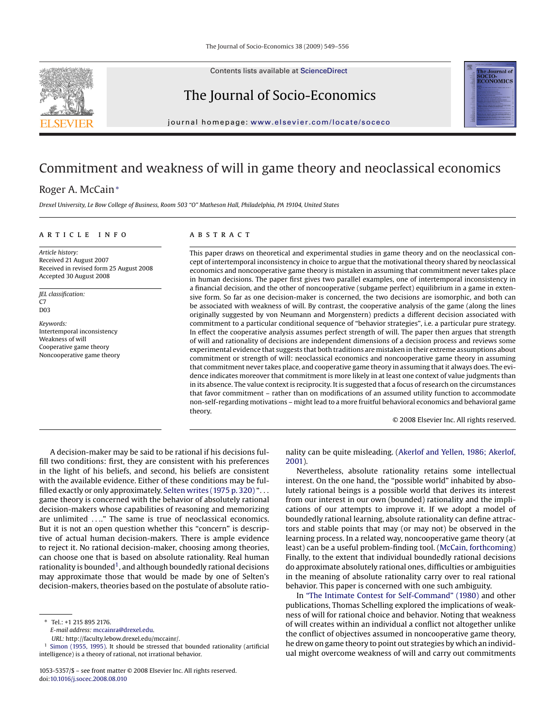Contents lists available at [ScienceDirect](http://www.sciencedirect.com/science/journal/10535357)

# The Journal of Socio-Economics

journal homepage: [www.elsevier.com/locate/soceco](http://www.elsevier.com/locate/soceco)

### Commitment and weakness of will in game theory and neoclassical economics

### Roger A. McCain<sup>∗</sup>

*Drexel University, Le Bow College of Business, Room 503 "O" Matheson Hall, Philadelphia, PA 19104, United States*

#### article info

*Article history:* Received 21 August 2007 Received in revised form 25 August 2008 Accepted 30 August 2008

*JEL classification:*  $C<sub>7</sub>$ D03

*Keywords:* Intertemporal inconsistency Weakness of will Cooperative game theory Noncooperative game theory

#### **ABSTRACT**

This paper draws on theoretical and experimental studies in game theory and on the neoclassical concept of intertemporal inconsistency in choice to argue that the motivational theory shared by neoclassical economics and noncooperative game theory is mistaken in assuming that commitment never takes place in human decisions. The paper first gives two parallel examples, one of intertemporal inconsistency in a financial decision, and the other of noncooperative (subgame perfect) equilibrium in a game in extensive form. So far as one decision-maker is concerned, the two decisions are isomorphic, and both can be associated with weakness of will. By contrast, the cooperative analysis of the game (along the lines originally suggested by von Neumann and Morgenstern) predicts a different decision associated with commitment to a particular conditional sequence of "behavior strategies", i.e. a particular pure strategy. In effect the cooperative analysis assumes perfect strength of will. The paper then argues that strength of will and rationality of decisions are independent dimensions of a decision process and reviews some experimental evidence that suggests that both traditions are mistaken in their extreme assumptions about commitment or strength of will: neoclassical economics and noncooperative game theory in assuming that commitment never takes place, and cooperative game theory in assuming that it always does. The evidence indicates moreover that commitment is more likely in at least one context of value judgments than in its absence. The value context is reciprocity. It is suggested that a focus of research on the circumstances that favor commitment – rather than on modifications of an assumed utility function to accommodate non-self-regarding motivations – might lead to a more fruitful behavioral economics and behavioral game theory.

© 2008 Elsevier Inc. All rights reserved.

rnal of **OCIO-**<br>CONOMICS

A decision-maker may be said to be rational if his decisions fulfill two conditions: first, they are consistent with his preferences in the light of his beliefs, and second, his beliefs are consistent with the available evidence. Either of these conditions may be fulfilled exactly or only approximately. [Selten writes \(1975 p. 320\)](#page--1-0) "... game theory is concerned with the behavior of absolutely rational decision-makers whose capabilities of reasoning and memorizing are unlimited ...." The same is true of neoclassical economics. But it is not an open question whether this "concern" is descriptive of actual human decision-makers. There is ample evidence to reject it. No rational decision-maker, choosing among theories, can choose one that is based on absolute rationality. Real human rationality is bounded<sup>1</sup>, and although boundedly rational decisions may approximate those that would be made by one of Selten's decision-makers, theories based on the postulate of absolute ratio-

∗ Tel.: +1 215 895 2176.

*URL:* http://faculty.lebow.drexel.edu/mccainr/.

nality can be quite misleading. ([Akerlof and Yellen, 1986; Akerlof,](#page--1-0) [2001\).](#page--1-0)

Nevertheless, absolute rationality retains some intellectual interest. On the one hand, the "possible world" inhabited by absolutely rational beings is a possible world that derives its interest from our interest in our own (bounded) rationality and the implications of our attempts to improve it. If we adopt a model of boundedly rational learning, absolute rationality can define attractors and stable points that may (or may not) be observed in the learning process. In a related way, noncooperative game theory (at least) can be a useful problem-finding tool. ([McCain, forthcoming\)](#page--1-0) Finally, to the extent that individual boundedly rational decisions do approximate absolutely rational ones, difficulties or ambiguities in the meaning of absolute rationality carry over to real rational behavior. This paper is concerned with one such ambiguity.

In ["The Intimate Contest for Self-Command" \(1980\)](#page--1-0) and other publications, Thomas Schelling explored the implications of weakness of will for rational choice and behavior. Noting that weakness of will creates within an individual a conflict not altogether unlike the conflict of objectives assumed in noncooperative game theory, he drew on game theory to point out strategies by which an individual might overcome weakness of will and carry out commitments



*E-mail address:* [mccainra@drexel.edu.](mailto:mccainra@drexel.edu)

<sup>&</sup>lt;sup>1</sup> [Simon \(1955, 1995\). I](#page--1-0)t should be stressed that bounded rationality (artificial intelligence) is a theory of rational, not irrational behavior.

<sup>1053-5357/\$ –</sup> see front matter © 2008 Elsevier Inc. All rights reserved. doi:[10.1016/j.socec.2008.08.010](dx.doi.org/10.1016/j.socec.2008.08.010)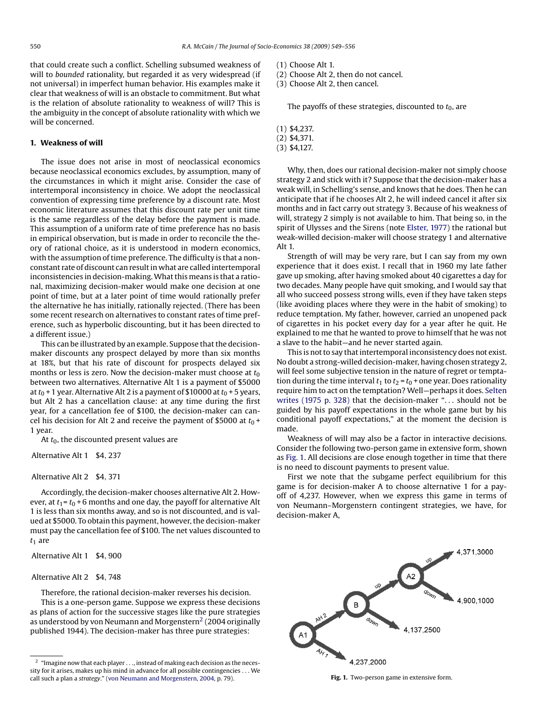that could create such a conflict. Schelling subsumed weakness of will to *bounded* rationality, but regarded it as very widespread (if not universal) in imperfect human behavior. His examples make it clear that weakness of will is an obstacle to commitment. But what is the relation of absolute rationality to weakness of will? This is the ambiguity in the concept of absolute rationality with which we will be concerned.

#### **1. Weakness of will**

The issue does not arise in most of neoclassical economics because neoclassical economics excludes, by assumption, many of the circumstances in which it might arise. Consider the case of intertemporal inconsistency in choice. We adopt the neoclassical convention of expressing time preference by a discount rate. Most economic literature assumes that this discount rate per unit time is the same regardless of the delay before the payment is made. This assumption of a uniform rate of time preference has no basis in empirical observation, but is made in order to reconcile the theory of rational choice, as it is understood in modern economics, with the assumption of time preference. The difficulty is that a nonconstant rate of discount can result in what are called intertemporal inconsistencies in decision-making.What this means is that a rational, maximizing decision-maker would make one decision at one point of time, but at a later point of time would rationally prefer the alternative he has initially, rationally rejected. (There has been some recent research on alternatives to constant rates of time preference, such as hyperbolic discounting, but it has been directed to a different issue.)

This can be illustrated by an example. Suppose that the decisionmaker discounts any prospect delayed by more than six months at 18%, but that his rate of discount for prospects delayed six months or less is zero. Now the decision-maker must choose at  $t_0$ between two alternatives. Alternative Alt 1 is a payment of \$5000 at  $t_0$  + 1 year. Alternative Alt 2 is a payment of \$10000 at  $t_0$  + 5 years, but Alt 2 has a cancellation clause: at any time during the first year, for a cancellation fee of \$100, the decision-maker can cancel his decision for Alt 2 and receive the payment of \$5000 at  $t_0$  + 1 year.

At  $t_0$ , the discounted present values are

Alternative Alt 1 \$4, 237

#### Alternative Alt 2 \$4, 371

Accordingly, the decision-maker chooses alternative Alt 2. However, at  $t_1 = t_0 + 6$  months and one day, the payoff for alternative Alt 1 is less than six months away, and so is not discounted, and is valued at \$5000. To obtain this payment, however, the decision-maker must pay the cancellation fee of \$100. The net values discounted to  $t_1$  are

Alternative Alt 1 \$4, 900

### Alternative Alt 2 \$4, 748

Therefore, the rational decision-maker reverses his decision. This is a one-person game. Suppose we express these decisions as plans of action for the successive stages like the pure strategies as understood by von Neumann and Morgenstern<sup>2</sup> (2004 originally published 1944). The decision-maker has three pure strategies:

(1) Choose Alt 1.

- (2) Choose Alt 2, then do not cancel.
- (3) Choose Alt 2, then cancel.

The payoffs of these strategies, discounted to  $t_0$ , are

```
(1) $4,237.
```
- (2) \$4,371.
- (3) \$4,127.

Why, then, does our rational decision-maker not simply choose strategy 2 and stick with it? Suppose that the decision-maker has a weak will, in Schelling's sense, and knows that he does. Then he can anticipate that if he chooses Alt 2, he will indeed cancel it after six months and in fact carry out strategy 3. Because of his weakness of will, strategy 2 simply is not available to him. That being so, in the spirit of Ulysses and the Sirens (note [Elster, 1977\)](#page--1-0) the rational but weak-willed decision-maker will choose strategy 1 and alternative Alt 1.

Strength of will may be very rare, but I can say from my own experience that it does exist. I recall that in 1960 my late father gave up smoking, after having smoked about 40 cigarettes a day for two decades. Many people have quit smoking, and I would say that all who succeed possess strong wills, even if they have taken steps (like avoiding places where they were in the habit of smoking) to reduce temptation. My father, however, carried an unopened pack of cigarettes in his pocket every day for a year after he quit. He explained to me that he wanted to prove to himself that he was not a slave to the habit—and he never started again.

This is not to say that intertemporal inconsistency does not exist. No doubt a strong-willed decision-maker, having chosen strategy 2, will feel some subjective tension in the nature of regret or temptation during the time interval  $t_1$  to  $t_2 = t_0 +$  one year. Does rationality require him to act on the temptation? Well—perhaps it does. [Selten](#page--1-0) [writes \(1975 p. 328\)](#page--1-0) that the decision-maker "... should not be guided by his payoff expectations in the whole game but by his conditional payoff expectations," at the moment the decision is made.

Weakness of will may also be a factor in interactive decisions. Consider the following two-person game in extensive form, shown as Fig. 1. All decisions are close enough together in time that there is no need to discount payments to present value.

First we note that the subgame perfect equilibrium for this game is for decision-maker A to choose alternative 1 for a payoff of 4,237. However, when we express this game in terms of von Neumann–Morgenstern contingent strategies, we have, for decision-maker A,



**Fig. 1.** Two-person game in extensive form.

 $^{\rm 2}$  "Imagine now that each player . . ., instead of making each decision as the necessity for it arises, makes up his mind in advance for all possible contingencies ... We call such a plan a *strategy*." [\(von Neumann and Morgenstern, 2004, p](#page--1-0). 79).